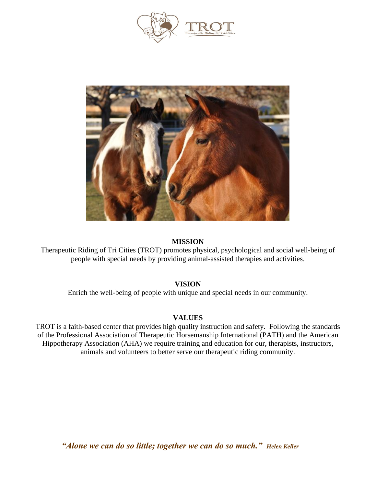



# **MISSION**

Therapeutic Riding of Tri Cities (TROT) promotes physical, psychological and social well-being of people with special needs by providing animal-assisted therapies and activities.

# **VISION**

Enrich the well-being of people with unique and special needs in our community.

# **VALUES**

TROT is a faith-based center that provides high quality instruction and safety. Following the standards of the Professional Association of Therapeutic Horsemanship International (PATH) and the American Hippotherapy Association (AHA) we require training and education for our, therapists, instructors, animals and volunteers to better serve our therapeutic riding community.

*"Alone we can do so little; together we can do so much." Helen Keller*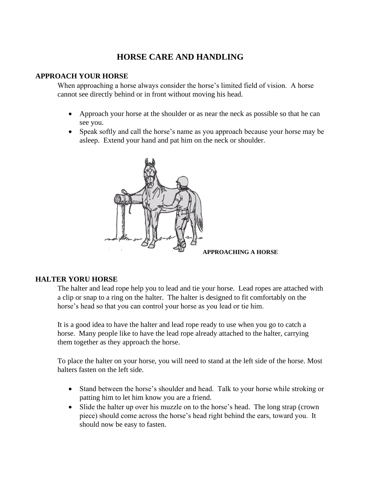# **HORSE CARE AND HANDLING**

# **APPROACH YOUR HORSE**

When approaching a horse always consider the horse's limited field of vision. A horse cannot see directly behind or in front without moving his head.

- Approach your horse at the shoulder or as near the neck as possible so that he can see you.
- Speak softly and call the horse's name as you approach because your horse may be asleep. Extend your hand and pat him on the neck or shoulder.



# **HALTER YORU HORSE**

The halter and lead rope help you to lead and tie your horse. Lead ropes are attached with a clip or snap to a ring on the halter. The halter is designed to fit comfortably on the horse's head so that you can control your horse as you lead or tie him.

It is a good idea to have the halter and lead rope ready to use when you go to catch a horse. Many people like to have the lead rope already attached to the halter, carrying them together as they approach the horse.

To place the halter on your horse, you will need to stand at the left side of the horse. Most halters fasten on the left side.

- Stand between the horse's shoulder and head. Talk to your horse while stroking or patting him to let him know you are a friend.
- Slide the halter up over his muzzle on to the horse's head. The long strap (crown piece) should come across the horse's head right behind the ears, toward you. It should now be easy to fasten.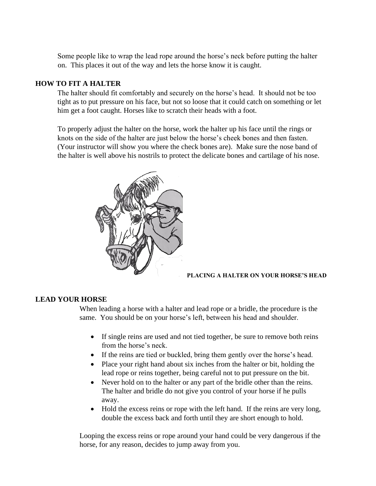Some people like to wrap the lead rope around the horse's neck before putting the halter on. This places it out of the way and lets the horse know it is caught.

# **HOW TO FIT A HALTER**

The halter should fit comfortably and securely on the horse's head. It should not be too tight as to put pressure on his face, but not so loose that it could catch on something or let him get a foot caught. Horses like to scratch their heads with a foot.

To properly adjust the halter on the horse, work the halter up his face until the rings or knots on the side of the halter are just below the horse's cheek bones and then fasten. (Your instructor will show you where the check bones are). Make sure the nose band of the halter is well above his nostrils to protect the delicate bones and cartilage of his nose.



#### **PLACING A HALTER ON YOUR HORSE'S HEAD**

# **LEAD YOUR HORSE**

When leading a horse with a halter and lead rope or a bridle, the procedure is the same. You should be on your horse's left, between his head and shoulder.

- If single reins are used and not tied together, be sure to remove both reins from the horse's neck.
- If the reins are tied or buckled, bring them gently over the horse's head.
- Place your right hand about six inches from the halter or bit, holding the lead rope or reins together, being careful not to put pressure on the bit.
- Never hold on to the halter or any part of the bridle other than the reins. The halter and bridle do not give you control of your horse if he pulls away.
- Hold the excess reins or rope with the left hand. If the reins are very long, double the excess back and forth until they are short enough to hold.

Looping the excess reins or rope around your hand could be very dangerous if the horse, for any reason, decides to jump away from you.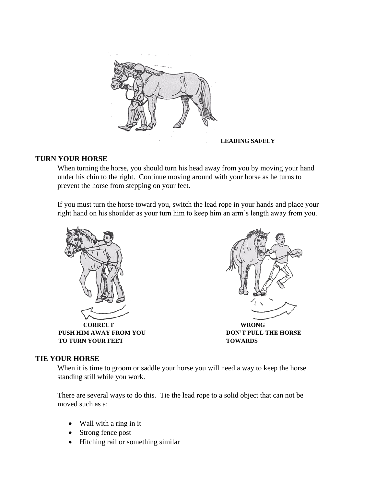

**LEADING SAFELY**

# **TURN YOUR HORSE**

When turning the horse, you should turn his head away from you by moving your hand under his chin to the right. Continue moving around with your horse as he turns to prevent the horse from stepping on your feet.

If you must turn the horse toward you, switch the lead rope in your hands and place your right hand on his shoulder as your turn him to keep him an arm's length away from you.





# **TIE YOUR HORSE**

When it is time to groom or saddle your horse you will need a way to keep the horse standing still while you work.

There are several ways to do this. Tie the lead rope to a solid object that can not be moved such as a:

- Wall with a ring in it
- Strong fence post
- Hitching rail or something similar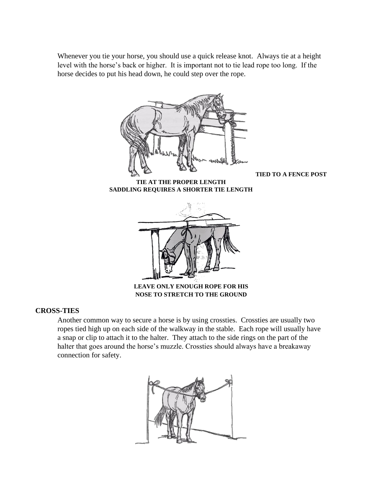Whenever you tie your horse, you should use a quick release knot. Always tie at a height level with the horse's back or higher. It is important not to tie lead rope too long. If the horse decides to put his head down, he could step over the rope.



**TIED TO A FENCE POST**

**TIE AT THE PROPER LENGTH SADDLING REQUIRES A SHORTER TIE LENGTH** 



**NOSE TO STRETCH TO THE GROUND**

# **CROSS-TIES**

Another common way to secure a horse is by using crossties. Crossties are usually two ropes tied high up on each side of the walkway in the stable. Each rope will usually have a snap or clip to attach it to the halter. They attach to the side rings on the part of the halter that goes around the horse's muzzle. Crossties should always have a breakaway connection for safety.

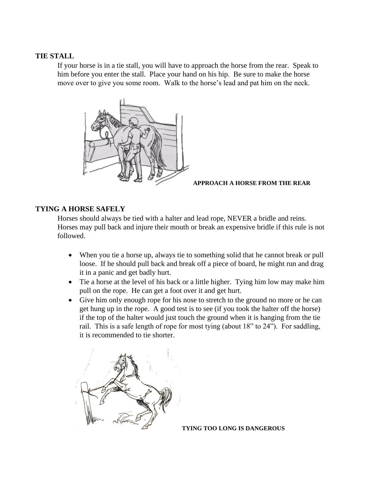# **TIE STALL**

If your horse is in a tie stall, you will have to approach the horse from the rear. Speak to him before you enter the stall. Place your hand on his hip. Be sure to make the horse move over to give you some room. Walk to the horse's lead and pat him on the neck.



**APPROACH A HORSE FROM THE REAR**

# **TYING A HORSE SAFELY**

Horses should always be tied with a halter and lead rope, NEVER a bridle and reins. Horses may pull back and injure their mouth or break an expensive bridle if this rule is not followed.

- When you tie a horse up, always tie to something solid that he cannot break or pull loose. If he should pull back and break off a piece of board, he might run and drag it in a panic and get badly hurt.
- Tie a horse at the level of his back or a little higher. Tying him low may make him pull on the rope. He can get a foot over it and get hurt.
- Give him only enough rope for his nose to stretch to the ground no more or he can get hung up in the rope. A good test is to see (if you took the halter off the horse) if the top of the halter would just touch the ground when it is hanging from the tie rail. This is a safe length of rope for most tying (about 18" to 24"). For saddling, it is recommended to tie shorter.



**TYING TOO LONG IS DANGEROUS**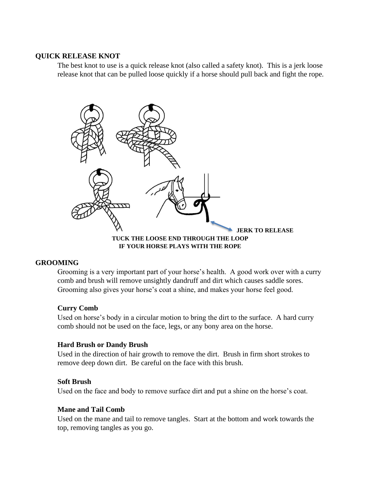# **QUICK RELEASE KNOT**

The best knot to use is a quick release knot (also called a safety knot). This is a jerk loose release knot that can be pulled loose quickly if a horse should pull back and fight the rope.



# **GROOMING**

Grooming is a very important part of your horse's health. A good work over with a curry comb and brush will remove unsightly dandruff and dirt which causes saddle sores. Grooming also gives your horse's coat a shine, and makes your horse feel good.

# **Curry Comb**

Used on horse's body in a circular motion to bring the dirt to the surface. A hard curry comb should not be used on the face, legs, or any bony area on the horse.

# **Hard Brush or Dandy Brush**

Used in the direction of hair growth to remove the dirt. Brush in firm short strokes to remove deep down dirt. Be careful on the face with this brush.

# **Soft Brush**

Used on the face and body to remove surface dirt and put a shine on the horse's coat.

#### **Mane and Tail Comb**

Used on the mane and tail to remove tangles. Start at the bottom and work towards the top, removing tangles as you go.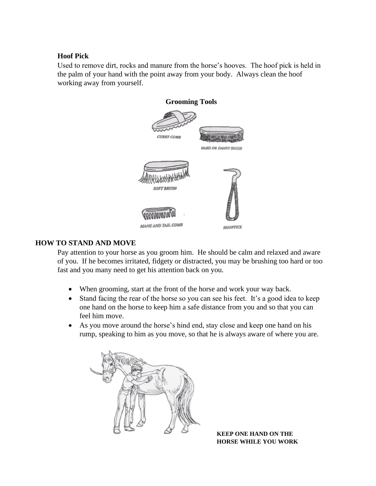# **Hoof Pick**

Used to remove dirt, rocks and manure from the horse's hooves. The hoof pick is held in the palm of your hand with the point away from your body. Always clean the hoof working away from yourself.



# **HOW TO STAND AND MOVE**

Pay attention to your horse as you groom him. He should be calm and relaxed and aware of you. If he becomes irritated, fidgety or distracted, you may be brushing too hard or too fast and you many need to get his attention back on you.

- When grooming, start at the front of the horse and work your way back.
- Stand facing the rear of the horse so you can see his feet. It's a good idea to keep one hand on the horse to keep him a safe distance from you and so that you can feel him move.
- As you move around the horse's hind end, stay close and keep one hand on his rump, speaking to him as you move, so that he is always aware of where you are.



 **KEEP ONE HAND ON THE HORSE WHILE YOU WORK**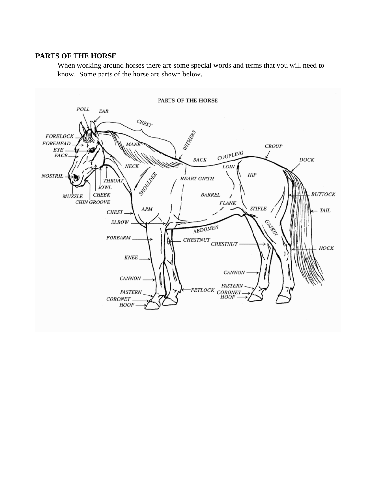#### **PARTS OF THE HORSE**

When working around horses there are some special words and terms that you will need to know. Some parts of the horse are shown below.

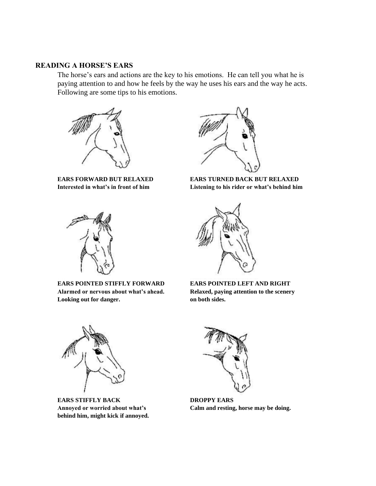# **READING A HORSE'S EARS**

The horse's ears and actions are the key to his emotions. He can tell you what he is paying attention to and how he feels by the way he uses his ears and the way he acts. Following are some tips to his emotions.





**EARS POINTED STIFFLY FORWARD EARS POINTED LEFT AND RIGHT Alarmed or nervous about what's ahead. Relaxed, paying attention to the scenery Looking out for danger. on both sides.**



**EARS FORWARD BUT RELAXED EARS TURNED BACK BUT RELAXED Interested in what's in front of him Listening to his rider or what's behind him** 





**EARS STIFFLY BACK DROPPY EARS behind him, might kick if annoyed.**



**Annoyed or worried about what's Calm and resting, horse may be doing.**